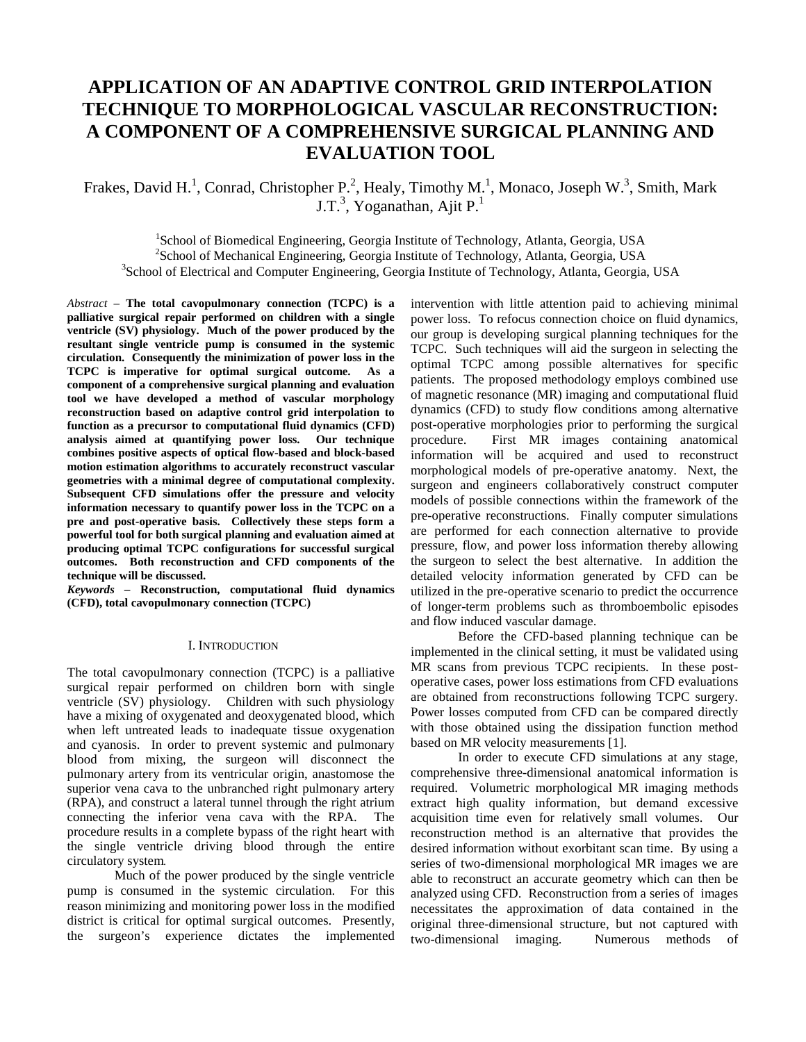# **APPLICATION OF AN ADAPTIVE CONTROL GRID INTERPOLATION TECHNIQUE TO MORPHOLOGICAL VASCULAR RECONSTRUCTION: A COMPONENT OF A COMPREHENSIVE SURGICAL PLANNING AND EVALUATION TOOL**

Frakes, David H.<sup>1</sup>, Conrad, Christopher P.<sup>2</sup>, Healy, Timothy M.<sup>1</sup>, Monaco, Joseph W.<sup>3</sup>, Smith, Mark J.T.<sup>3</sup>, Yoganathan, Ajit  $P<sup>1</sup>$ 

<sup>1</sup>School of Biomedical Engineering, Georgia Institute of Technology, Atlanta, Georgia, USA <sup>2</sup> School of Mechanical Engineering, Georgia Institute of Technology, Atlanta, Georgia, USA<br><sup>3</sup> School of Electrical and Computer Engineering, Georgia Institute of Technology, Atlanta, Georgia <sup>3</sup>School of Electrical and Computer Engineering, Georgia Institute of Technology, Atlanta, Georgia, USA

*Abstract –* **The total cavopulmonary connection (TCPC) is a palliative surgical repair performed on children with a single ventricle (SV) physiology. Much of the power produced by the resultant single ventricle pump is consumed in the systemic circulation. Consequently the minimization of power loss in the TCPC is imperative for optimal surgical outcome. As a component of a comprehensive surgical planning and evaluation tool we have developed a method of vascular morphology reconstruction based on adaptive control grid interpolation to function as a precursor to computational fluid dynamics (CFD) analysis aimed at quantifying power loss. Our technique combines positive aspects of optical flow-based and block-based motion estimation algorithms to accurately reconstruct vascular geometries with a minimal degree of computational complexity. Subsequent CFD simulations offer the pressure and velocity information necessary to quantify power loss in the TCPC on a pre and post-operative basis. Collectively these steps form a powerful tool for both surgical planning and evaluation aimed at producing optimal TCPC configurations for successful surgical outcomes. Both reconstruction and CFD components of the technique will be discussed.** 

*Keywords –* **Reconstruction, computational fluid dynamics (CFD), total cavopulmonary connection (TCPC)** 

#### I. INTRODUCTION

The total cavopulmonary connection (TCPC) is a palliative surgical repair performed on children born with single ventricle (SV) physiology. Children with such physiology have a mixing of oxygenated and deoxygenated blood, which when left untreated leads to inadequate tissue oxygenation and cyanosis. In order to prevent systemic and pulmonary blood from mixing, the surgeon will disconnect the pulmonary artery from its ventricular origin, anastomose the superior vena cava to the unbranched right pulmonary artery (RPA), and construct a lateral tunnel through the right atrium connecting the inferior vena cava with the RPA. The procedure results in a complete bypass of the right heart with the single ventricle driving blood through the entire circulatory system*.* 

Much of the power produced by the single ventricle pump is consumed in the systemic circulation. For this reason minimizing and monitoring power loss in the modified district is critical for optimal surgical outcomes. Presently, the surgeon's experience dictates the implemented

intervention with little attention paid to achieving minimal power loss. To refocus connection choice on fluid dynamics, our group is developing surgical planning techniques for the TCPC. Such techniques will aid the surgeon in selecting the optimal TCPC among possible alternatives for specific patients. The proposed methodology employs combined use of magnetic resonance (MR) imaging and computational fluid dynamics (CFD) to study flow conditions among alternative post-operative morphologies prior to performing the surgical procedure. First MR images containing anatomical information will be acquired and used to reconstruct morphological models of pre-operative anatomy. Next, the surgeon and engineers collaboratively construct computer models of possible connections within the framework of the pre-operative reconstructions. Finally computer simulations are performed for each connection alternative to provide pressure, flow, and power loss information thereby allowing the surgeon to select the best alternative. In addition the detailed velocity information generated by CFD can be utilized in the pre-operative scenario to predict the occurrence of longer-term problems such as thromboembolic episodes and flow induced vascular damage.

Before the CFD-based planning technique can be implemented in the clinical setting, it must be validated using MR scans from previous TCPC recipients. In these postoperative cases, power loss estimations from CFD evaluations are obtained from reconstructions following TCPC surgery. Power losses computed from CFD can be compared directly with those obtained using the dissipation function method based on MR velocity measurements [1].

In order to execute CFD simulations at any stage, comprehensive three-dimensional anatomical information is required. Volumetric morphological MR imaging methods extract high quality information, but demand excessive acquisition time even for relatively small volumes. Our reconstruction method is an alternative that provides the desired information without exorbitant scan time. By using a series of two-dimensional morphological MR images we are able to reconstruct an accurate geometry which can then be analyzed using CFD. Reconstruction from a series of images necessitates the approximation of data contained in the original three-dimensional structure, but not captured with two-dimensional imaging. Numerous methods of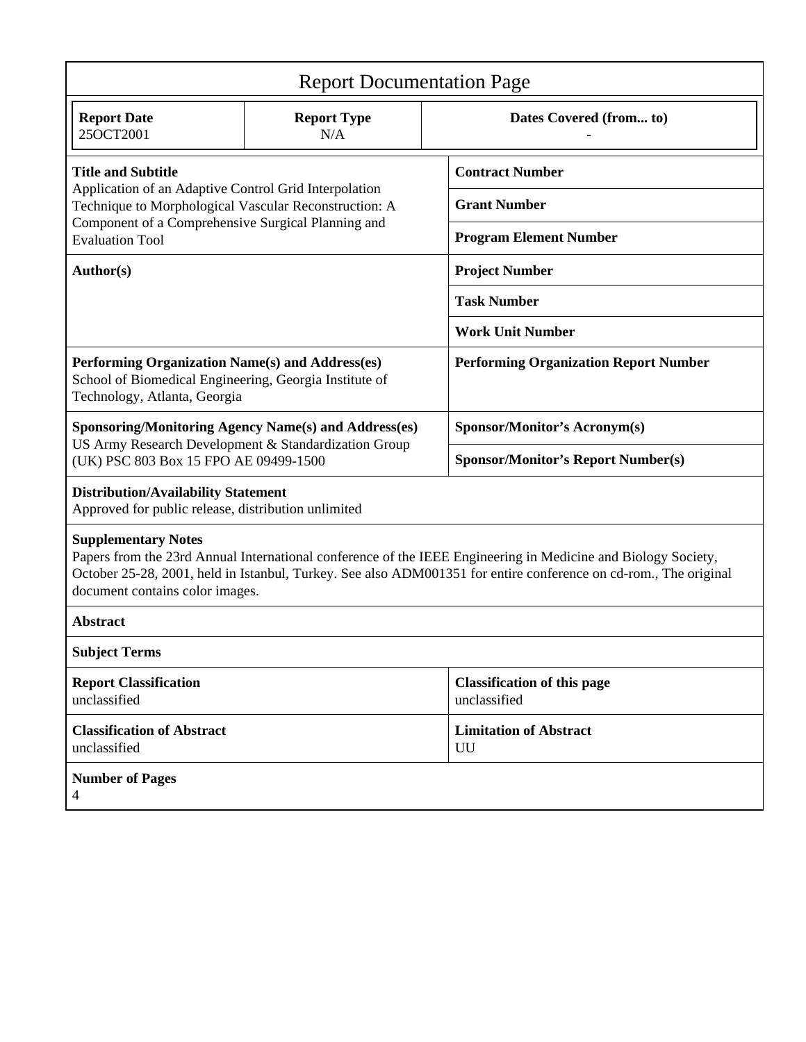| <b>Report Documentation Page</b>                                                                                                                                                                                                                                                                   |                           |                                                    |
|----------------------------------------------------------------------------------------------------------------------------------------------------------------------------------------------------------------------------------------------------------------------------------------------------|---------------------------|----------------------------------------------------|
| <b>Report Date</b><br>25OCT2001                                                                                                                                                                                                                                                                    | <b>Report Type</b><br>N/A | Dates Covered (from to)                            |
| <b>Title and Subtitle</b><br>Application of an Adaptive Control Grid Interpolation                                                                                                                                                                                                                 |                           | <b>Contract Number</b>                             |
| Technique to Morphological Vascular Reconstruction: A<br>Component of a Comprehensive Surgical Planning and<br><b>Evaluation Tool</b>                                                                                                                                                              |                           | <b>Grant Number</b>                                |
|                                                                                                                                                                                                                                                                                                    |                           | <b>Program Element Number</b>                      |
| Author(s)                                                                                                                                                                                                                                                                                          |                           | <b>Project Number</b>                              |
|                                                                                                                                                                                                                                                                                                    |                           | <b>Task Number</b>                                 |
|                                                                                                                                                                                                                                                                                                    |                           | <b>Work Unit Number</b>                            |
| Performing Organization Name(s) and Address(es)<br>School of Biomedical Engineering, Georgia Institute of<br>Technology, Atlanta, Georgia                                                                                                                                                          |                           | <b>Performing Organization Report Number</b>       |
| <b>Sponsoring/Monitoring Agency Name(s) and Address(es)</b><br>US Army Research Development & Standardization Group<br>(UK) PSC 803 Box 15 FPO AE 09499-1500                                                                                                                                       |                           | Sponsor/Monitor's Acronym(s)                       |
|                                                                                                                                                                                                                                                                                                    |                           | <b>Sponsor/Monitor's Report Number(s)</b>          |
| <b>Distribution/Availability Statement</b><br>Approved for public release, distribution unlimited                                                                                                                                                                                                  |                           |                                                    |
| <b>Supplementary Notes</b><br>Papers from the 23rd Annual International conference of the IEEE Engineering in Medicine and Biology Society,<br>October 25-28, 2001, held in Istanbul, Turkey. See also ADM001351 for entire conference on cd-rom., The original<br>document contains color images. |                           |                                                    |
| Abstract                                                                                                                                                                                                                                                                                           |                           |                                                    |
| <b>Subject Terms</b>                                                                                                                                                                                                                                                                               |                           |                                                    |
| <b>Report Classification</b><br>unclassified                                                                                                                                                                                                                                                       |                           | <b>Classification of this page</b><br>unclassified |
| <b>Classification of Abstract</b><br>unclassified                                                                                                                                                                                                                                                  |                           | <b>Limitation of Abstract</b><br>UU                |
| <b>Number of Pages</b><br>$\overline{4}$                                                                                                                                                                                                                                                           |                           |                                                    |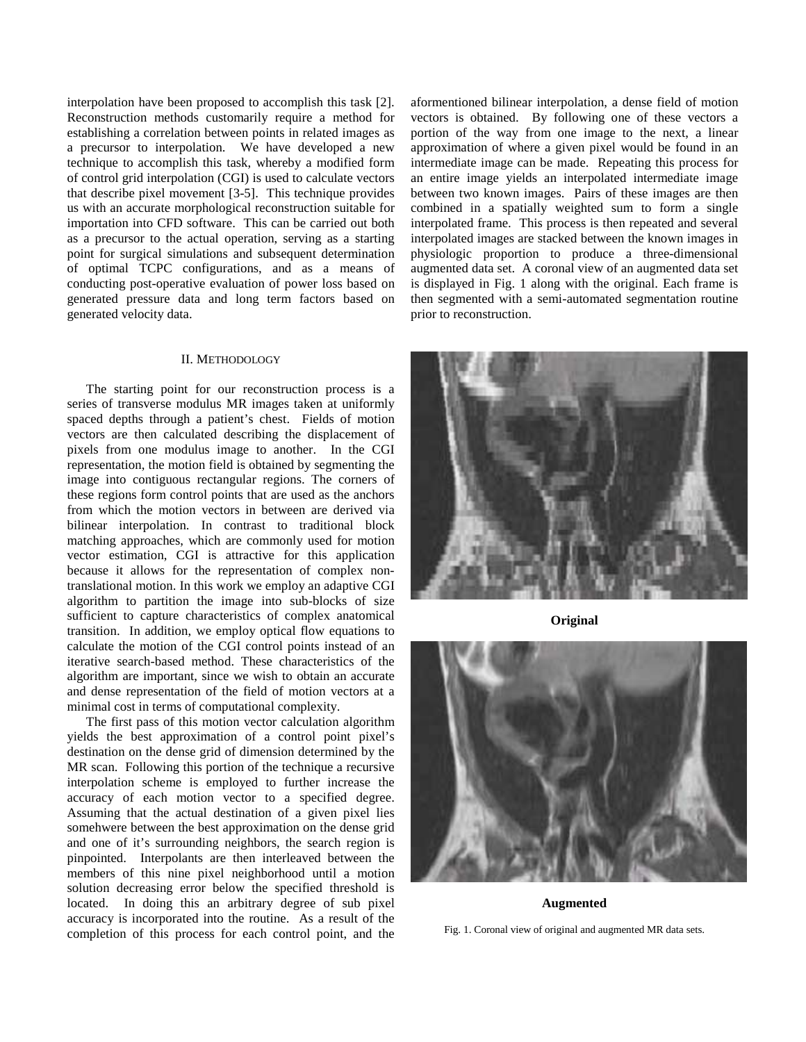interpolation have been proposed to accomplish this task [2]. Reconstruction methods customarily require a method for establishing a correlation between points in related images as a precursor to interpolation. We have developed a new technique to accomplish this task, whereby a modified form of control grid interpolation (CGI) is used to calculate vectors that describe pixel movement [3-5]. This technique provides us with an accurate morphological reconstruction suitable for importation into CFD software. This can be carried out both as a precursor to the actual operation, serving as a starting point for surgical simulations and subsequent determination of optimal TCPC configurations, and as a means of conducting post-operative evaluation of power loss based on generated pressure data and long term factors based on generated velocity data.

#### II. METHODOLOGY

The starting point for our reconstruction process is a series of transverse modulus MR images taken at uniformly spaced depths through a patient's chest. Fields of motion vectors are then calculated describing the displacement of pixels from one modulus image to another. In the CGI representation, the motion field is obtained by segmenting the image into contiguous rectangular regions. The corners of these regions form control points that are used as the anchors from which the motion vectors in between are derived via bilinear interpolation. In contrast to traditional block matching approaches, which are commonly used for motion vector estimation, CGI is attractive for this application because it allows for the representation of complex nontranslational motion. In this work we employ an adaptive CGI algorithm to partition the image into sub-blocks of size sufficient to capture characteristics of complex anatomical transition. In addition, we employ optical flow equations to calculate the motion of the CGI control points instead of an iterative search-based method. These characteristics of the algorithm are important, since we wish to obtain an accurate and dense representation of the field of motion vectors at a minimal cost in terms of computational complexity.

The first pass of this motion vector calculation algorithm yields the best approximation of a control point pixel's destination on the dense grid of dimension determined by the MR scan. Following this portion of the technique a recursive interpolation scheme is employed to further increase the accuracy of each motion vector to a specified degree. Assuming that the actual destination of a given pixel lies somehwere between the best approximation on the dense grid and one of it's surrounding neighbors, the search region is pinpointed. Interpolants are then interleaved between the members of this nine pixel neighborhood until a motion solution decreasing error below the specified threshold is located. In doing this an arbitrary degree of sub pixel accuracy is incorporated into the routine. As a result of the completion of this process for each control point, and the

aformentioned bilinear interpolation, a dense field of motion vectors is obtained. By following one of these vectors a portion of the way from one image to the next, a linear approximation of where a given pixel would be found in an intermediate image can be made. Repeating this process for an entire image yields an interpolated intermediate image between two known images. Pairs of these images are then combined in a spatially weighted sum to form a single interpolated frame. This process is then repeated and several interpolated images are stacked between the known images in physiologic proportion to produce a three-dimensional augmented data set. A coronal view of an augmented data set is displayed in Fig. 1 along with the original. Each frame is then segmented with a semi-automated segmentation routine prior to reconstruction.



**Original** 



#### **Augmented**

Fig. 1. Coronal view of original and augmented MR data sets.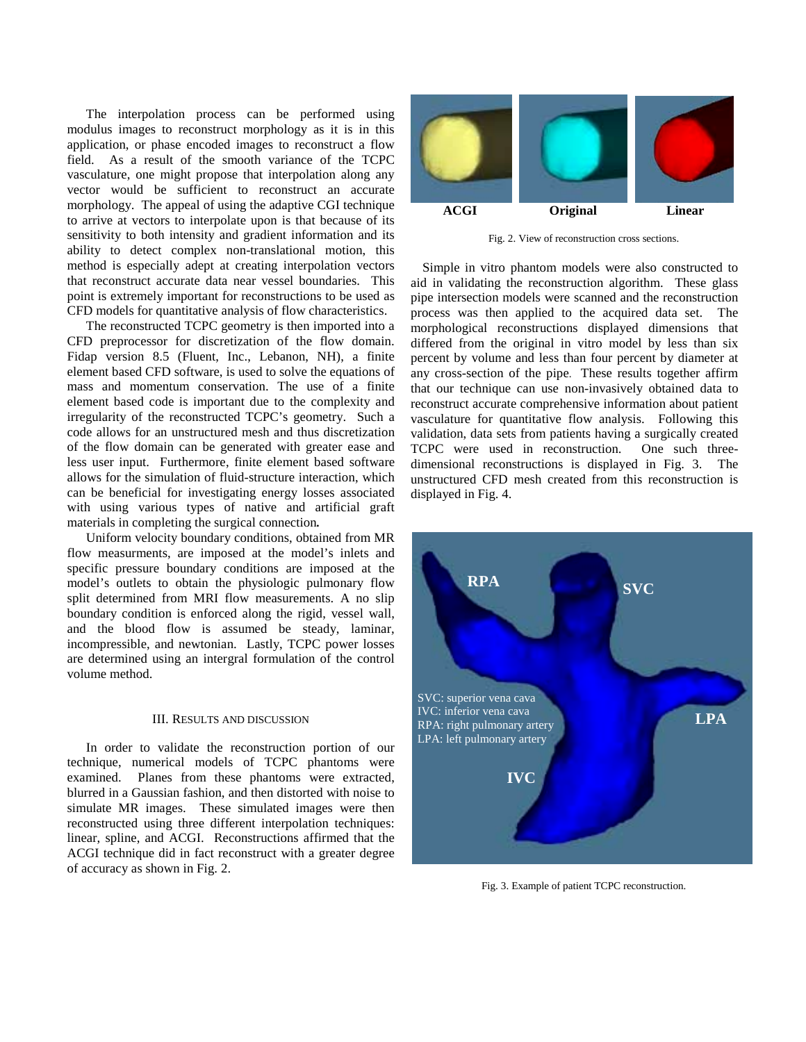The interpolation process can be performed using modulus images to reconstruct morphology as it is in this application, or phase encoded images to reconstruct a flow field. As a result of the smooth variance of the TCPC vasculature, one might propose that interpolation along any vector would be sufficient to reconstruct an accurate morphology. The appeal of using the adaptive CGI technique to arrive at vectors to interpolate upon is that because of its sensitivity to both intensity and gradient information and its ability to detect complex non-translational motion, this method is especially adept at creating interpolation vectors that reconstruct accurate data near vessel boundaries. This point is extremely important for reconstructions to be used as CFD models for quantitative analysis of flow characteristics.

The reconstructed TCPC geometry is then imported into a CFD preprocessor for discretization of the flow domain. Fidap version 8.5 (Fluent, Inc., Lebanon, NH), a finite element based CFD software, is used to solve the equations of mass and momentum conservation. The use of a finite element based code is important due to the complexity and irregularity of the reconstructed TCPC's geometry. Such a code allows for an unstructured mesh and thus discretization of the flow domain can be generated with greater ease and less user input. Furthermore, finite element based software allows for the simulation of fluid-structure interaction, which can be beneficial for investigating energy losses associated with using various types of native and artificial graft materials in completing the surgical connection**.** 

Uniform velocity boundary conditions, obtained from MR flow measurments, are imposed at the model's inlets and specific pressure boundary conditions are imposed at the model's outlets to obtain the physiologic pulmonary flow split determined from MRI flow measurements. A no slip boundary condition is enforced along the rigid, vessel wall, and the blood flow is assumed be steady, laminar, incompressible, and newtonian. Lastly, TCPC power losses are determined using an intergral formulation of the control volume method.

#### III. RESULTS AND DISCUSSION

In order to validate the reconstruction portion of our technique, numerical models of TCPC phantoms were examined. Planes from these phantoms were extracted, blurred in a Gaussian fashion, and then distorted with noise to simulate MR images. These simulated images were then reconstructed using three different interpolation techniques: linear, spline, and ACGI. Reconstructions affirmed that the ACGI technique did in fact reconstruct with a greater degree of accuracy as shown in Fig. 2.



Fig. 2. View of reconstruction cross sections.

Simple in vitro phantom models were also constructed to aid in validating the reconstruction algorithm. These glass pipe intersection models were scanned and the reconstruction process was then applied to the acquired data set. The morphological reconstructions displayed dimensions that differed from the original in vitro model by less than six percent by volume and less than four percent by diameter at any cross-section of the pipe. These results together affirm that our technique can use non-invasively obtained data to reconstruct accurate comprehensive information about patient vasculature for quantitative flow analysis. Following this validation, data sets from patients having a surgically created TCPC were used in reconstruction. One such threedimensional reconstructions is displayed in Fig. 3. The unstructured CFD mesh created from this reconstruction is displayed in Fig. 4.



Fig. 3. Example of patient TCPC reconstruction.